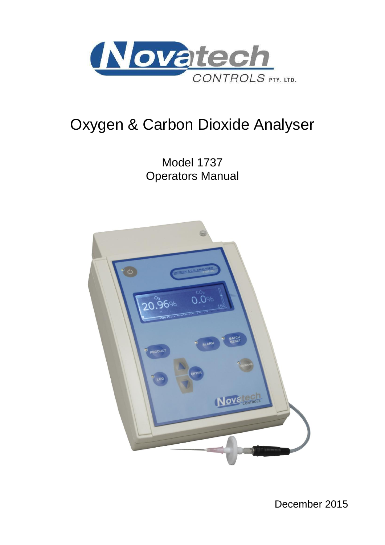

# Oxygen & Carbon Dioxide Analyser

Model 1737 Operators Manual



December 2015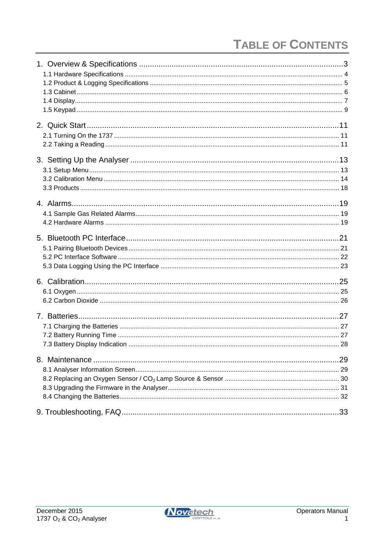| .33 |
|-----|

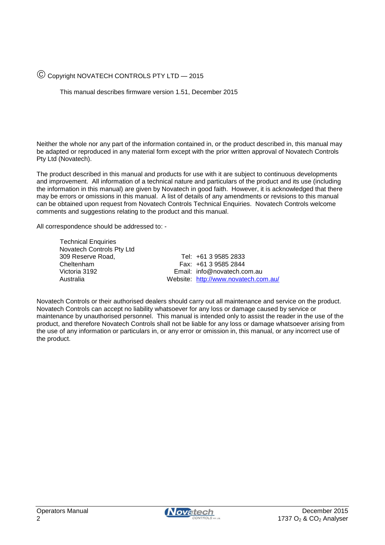## $\copyright$  Copyright NOVATECH CONTROLS PTY LTD  $-$  2015

This manual describes firmware version 1.51, December 2015

Neither the whole nor any part of the information contained in, or the product described in, this manual may be adapted or reproduced in any material form except with the prior written approval of Novatech Controls Pty Ltd (Novatech).

The product described in this manual and products for use with it are subject to continuous developments and improvement. All information of a technical nature and particulars of the product and its use (including the information in this manual) are given by Novatech in good faith. However, it is acknowledged that there may be errors or omissions in this manual. A list of details of any amendments or revisions to this manual can be obtained upon request from Novatech Controls Technical Enquiries. Novatech Controls welcome comments and suggestions relating to the product and this manual.

All correspondence should be addressed to: -

Technical Enquiries Novatech Controls Pty Ltd 309 Reserve Road, Tel: +61 3 9585 2833 Cheltenham Fax: +61 3 9585 2844

Victoria 3192 Email: info@novatech.com.au Australia Website: <http://www.novatech.com.au/>

Novatech Controls or their authorised dealers should carry out all maintenance and service on the product. Novatech Controls can accept no liability whatsoever for any loss or damage caused by service or maintenance by unauthorised personnel. This manual is intended only to assist the reader in the use of the product, and therefore Novatech Controls shall not be liable for any loss or damage whatsoever arising from the use of any information or particulars in, or any error or omission in, this manual, or any incorrect use of the product.

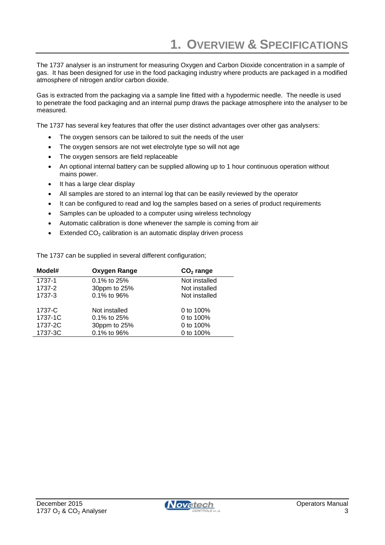<span id="page-4-0"></span>The 1737 analyser is an instrument for measuring Oxygen and Carbon Dioxide concentration in a sample of gas. It has been designed for use in the food packaging industry where products are packaged in a modified atmosphere of nitrogen and/or carbon dioxide.

Gas is extracted from the packaging via a sample line fitted with a hypodermic needle. The needle is used to penetrate the food packaging and an internal pump draws the package atmosphere into the analyser to be measured.

The 1737 has several key features that offer the user distinct advantages over other gas analysers:

- The oxygen sensors can be tailored to suit the needs of the user
- The oxygen sensors are not wet electrolyte type so will not age
- The oxygen sensors are field replaceable
- An optional internal battery can be supplied allowing up to 1 hour continuous operation without mains power.
- It has a large clear display
- All samples are stored to an internal log that can be easily reviewed by the operator
- It can be configured to read and log the samples based on a series of product requirements
- Samples can be uploaded to a computer using wireless technology
- Automatic calibration is done whenever the sample is coming from air
- Extended  $CO<sub>2</sub>$  calibration is an automatic display driven process

The 1737 can be supplied in several different configuration;

| Model#  | Oxygen Range   | $CO2$ range   |
|---------|----------------|---------------|
| 1737-1  | 0.1% to 25%    | Not installed |
| 1737-2  | 30ppm to 25%   | Not installed |
| 1737-3  | $0.1\%$ to 96% | Not installed |
|         |                |               |
| 1737-C  | Not installed  | 0 to $100%$   |
| 1737-1C | $0.1\%$ to 25% | 0 to 100%     |
| 1737-2C | 30ppm to 25%   | 0 to 100%     |
| 1737-3C | 0.1% to 96%    | 0 to 100%     |

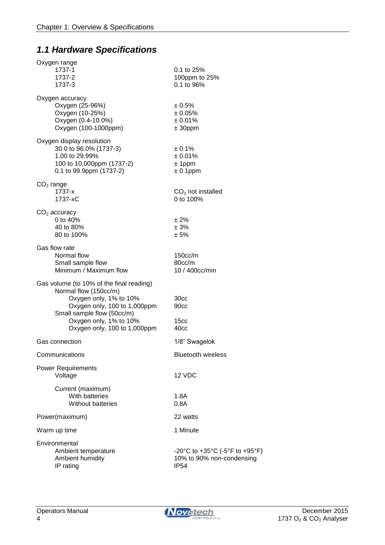## <span id="page-5-0"></span>*1.1 Hardware Specifications*

| Oxygen range<br>1737-1<br>1737-2<br>1737-3                                                                                                                                                                          | 0.1 to 25%<br>100ppm to 25%<br>0.1 to 96%                                  |
|---------------------------------------------------------------------------------------------------------------------------------------------------------------------------------------------------------------------|----------------------------------------------------------------------------|
| Oxygen accuracy<br>Oxygen (25-96%)<br>Oxygen (10-25%)<br>Oxygen (0.4-10.0%)<br>Oxygen (100-1000ppm)                                                                                                                 | ± 0.5%<br>± 0.05%<br>± 0.01%<br>$± 30$ ppm                                 |
| Oxygen display resolution<br>30.0 to 96.0% (1737-3)<br>1.00 to 29.99%<br>100 to 10,000ppm (1737-2)<br>0.1 to 99.9ppm (1737-2)                                                                                       | ± 0.1%<br>± 0.01%<br>$± 1$ ppm<br>$± 0.1$ ppm                              |
| $CO2$ range<br>1737-x<br>1737-xC                                                                                                                                                                                    | $CO2$ not installed<br>0 to 100%                                           |
| $CO2$ accuracy<br>0 to 40%<br>40 to 80%<br>80 to 100%                                                                                                                                                               | ± 2%<br>± 3%<br>± 5%                                                       |
| Gas flow rate<br>Normal flow<br>Small sample flow<br>Minimum / Maximum flow                                                                                                                                         | 150cc/m<br>80cc/m<br>10 / 400cc/min                                        |
| Gas volume (to 10% of the final reading)<br>Normal flow (150cc/m)<br>Oxygen only, 1% to 10%<br>Oxygen only, 100 to 1,000ppm<br>Small sample flow (50cc/m)<br>Oxygen only, 1% to 10%<br>Oxygen only, 100 to 1,000ppm | 30 <sub>cc</sub><br>90cc<br>15 <sub>cc</sub><br>40 <sub>cc</sub>           |
| Gas connection                                                                                                                                                                                                      | 1/8" Swagelok                                                              |
| Communications                                                                                                                                                                                                      | <b>Bluetooth wireless</b>                                                  |
| <b>Power Requirements</b><br>Voltage                                                                                                                                                                                | 12 VDC                                                                     |
| Current (maximum)<br>With batteries<br><b>Without batteries</b>                                                                                                                                                     | 1.8A<br>0.8A                                                               |
| Power(maximum)                                                                                                                                                                                                      | 22 watts                                                                   |
| Warm up time                                                                                                                                                                                                        | 1 Minute                                                                   |
| Environmental<br>Ambient temperature<br>Ambient humidity<br>IP rating                                                                                                                                               | -20°C to +35°C (-5°F to +95°F)<br>10% to 90% non-condensing<br><b>IP54</b> |

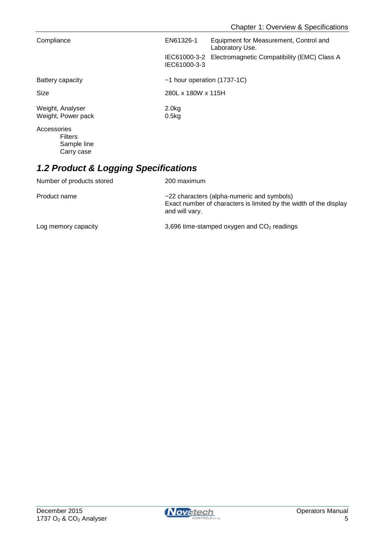| Compliance                                   | EN61326-1                     | Equipment for Measurement, Control and<br>Laboratory Use. |
|----------------------------------------------|-------------------------------|-----------------------------------------------------------|
|                                              | IEC61000-3-2<br>IEC61000-3-3  | Electromagnetic Compatibility (EMC) Class A               |
| Battery capacity                             | $~1$ hour operation (1737-1C) |                                                           |
| Size                                         | 280L x 180W x 115H            |                                                           |
| Weight, Analyser<br>Weight, Power pack       | 2.0kg<br>0.5kg                |                                                           |
| Accessories<br><b>Filters</b><br>Sample line |                               |                                                           |

## Carry case

## <span id="page-6-0"></span>*1.2 Product & Logging Specifications*

| Number of products stored | 200 maximum                                                                                                                             |
|---------------------------|-----------------------------------------------------------------------------------------------------------------------------------------|
| Product name              | $\sim$ 22 characters (alpha-numeric and symbols)<br>Exact number of characters is limited by the width of the display<br>and will vary. |
| Log memory capacity       | 3,696 time-stamped oxygen and $CO2$ readings                                                                                            |

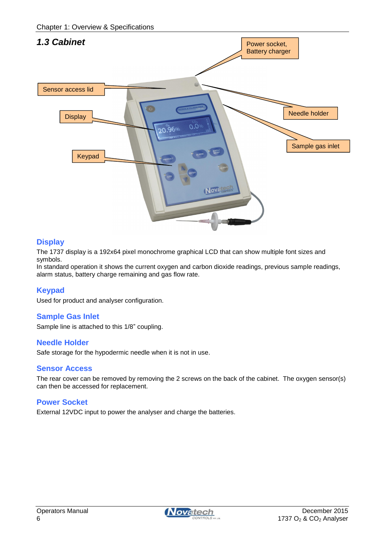## <span id="page-7-0"></span>*1.3 Cabinet*



## **Display**

The 1737 display is a 192x64 pixel monochrome graphical LCD that can show multiple font sizes and symbols.

In standard operation it shows the current oxygen and carbon dioxide readings, previous sample readings, alarm status, battery charge remaining and gas flow rate.

## **Keypad**

Used for product and analyser configuration.

## **Sample Gas Inlet**

Sample line is attached to this 1/8" coupling.

#### **Needle Holder**

Safe storage for the hypodermic needle when it is not in use.

#### **Sensor Access**

The rear cover can be removed by removing the 2 screws on the back of the cabinet. The oxygen sensor(s) can then be accessed for replacement.

## **Power Socket**

External 12VDC input to power the analyser and charge the batteries.



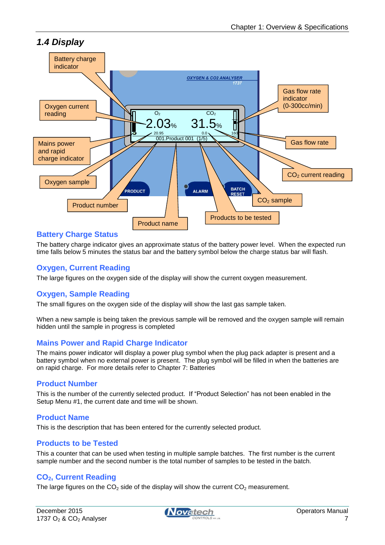## <span id="page-8-0"></span>*1.4 Display*



## **Battery Charge Status**

The battery charge indicator gives an approximate status of the battery power level. When the expected run time falls below 5 minutes the status bar and the battery symbol below the charge status bar will flash.

## **Oxygen, Current Reading**

The large figures on the oxygen side of the display will show the current oxygen measurement.

## **Oxygen, Sample Reading**

The small figures on the oxygen side of the display will show the last gas sample taken.

When a new sample is being taken the previous sample will be removed and the oxygen sample will remain hidden until the sample in progress is completed

## **Mains Power and Rapid Charge Indicator**

The mains power indicator will display a power plug symbol when the plug pack adapter is present and a battery symbol when no external power is present. The plug symbol will be filled in when the batteries are on rapid charge. For more details refer to Chapter 7: Batteries

#### **Product Number**

This is the number of the currently selected product. If "Product Selection" has not been enabled in the Setup Menu #1, the current date and time will be shown.

## **Product Name**

This is the description that has been entered for the currently selected product.

#### **Products to be Tested**

This a counter that can be used when testing in multiple sample batches. The first number is the current sample number and the second number is the total number of samples to be tested in the batch.

## **CO2, Current Reading**

The large figures on the  $CO<sub>2</sub>$  side of the display will show the current  $CO<sub>2</sub>$  measurement.

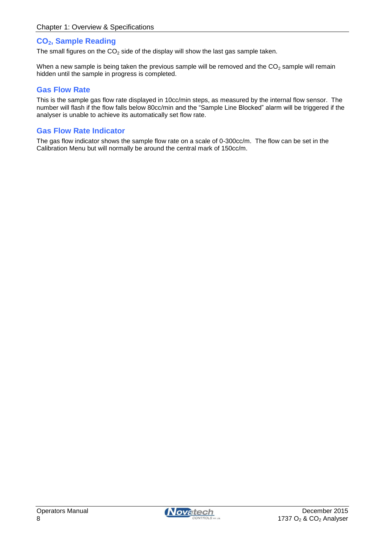### **CO2, Sample Reading**

The small figures on the  $CO<sub>2</sub>$  side of the display will show the last gas sample taken.

When a new sample is being taken the previous sample will be removed and the  $CO<sub>2</sub>$  sample will remain hidden until the sample in progress is completed.

#### **Gas Flow Rate**

This is the sample gas flow rate displayed in 10cc/min steps, as measured by the internal flow sensor. The number will flash if the flow falls below 80cc/min and the "Sample Line Blocked" alarm will be triggered if the analyser is unable to achieve its automatically set flow rate.

#### **Gas Flow Rate Indicator**

The gas flow indicator shows the sample flow rate on a scale of 0-300cc/m. The flow can be set in the Calibration Menu but will normally be around the central mark of 150cc/m.

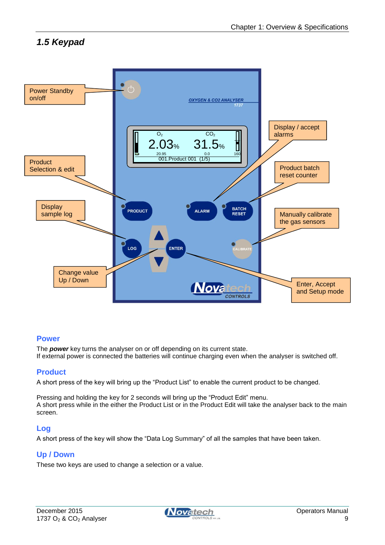## <span id="page-10-0"></span>*1.5 Keypad*



#### **Power**

The *power* key turns the analyser on or off depending on its current state. If external power is connected the batteries will continue charging even when the analyser is switched off.

## **Product**

A short press of the key will bring up the "Product List" to enable the current product to be changed.

Pressing and holding the key for 2 seconds will bring up the "Product Edit" menu. A short press while in the either the Product List or in the Product Edit will take the analyser back to the main screen.

## **Log**

A short press of the key will show the "Data Log Summary" of all the samples that have been taken.

## **Up / Down**

These two keys are used to change a selection or a value.

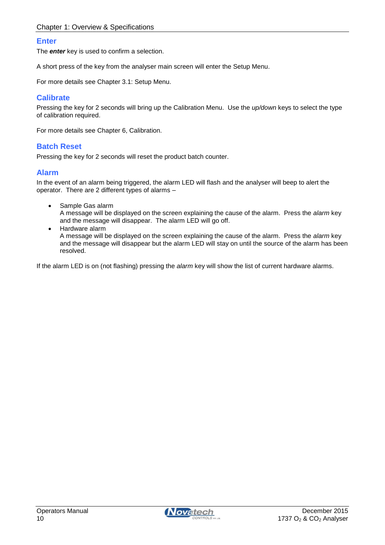#### **Enter**

The *enter* key is used to confirm a selection.

A short press of the key from the analyser main screen will enter the Setup Menu.

For more details see Chapter 3.1: Setup Menu.

### **Calibrate**

Pressing the key for 2 seconds will bring up the Calibration Menu. Use the *up/down* keys to select the type of calibration required.

For more details see Chapter 6, Calibration.

#### **Batch Reset**

Pressing the key for 2 seconds will reset the product batch counter.

#### **Alarm**

In the event of an alarm being triggered, the alarm LED will flash and the analyser will beep to alert the operator. There are 2 different types of alarms –

- Sample Gas alarm A message will be displayed on the screen explaining the cause of the alarm. Press the *alarm* key and the message will disappear. The alarm LED will go off.
- Hardware alarm A message will be displayed on the screen explaining the cause of the alarm. Press the *alarm* key and the message will disappear but the alarm LED will stay on until the source of the alarm has been resolved.

If the alarm LED is on (not flashing) pressing the *alarm* key will show the list of current hardware alarms.

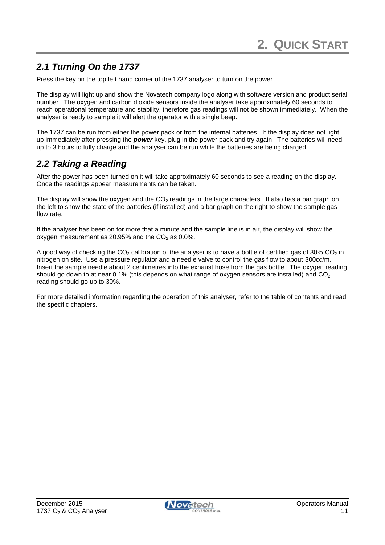## <span id="page-12-1"></span><span id="page-12-0"></span>*2.1 Turning On the 1737*

Press the key on the top left hand corner of the 1737 analyser to turn on the power.

The display will light up and show the Novatech company logo along with software version and product serial number. The oxygen and carbon dioxide sensors inside the analyser take approximately 60 seconds to reach operational temperature and stability, therefore gas readings will not be shown immediately. When the analyser is ready to sample it will alert the operator with a single beep.

The 1737 can be run from either the power pack or from the internal batteries. If the display does not light up immediately after pressing the *power* key, plug in the power pack and try again. The batteries will need up to 3 hours to fully charge and the analyser can be run while the batteries are being charged.

## <span id="page-12-2"></span>*2.2 Taking a Reading*

After the power has been turned on it will take approximately 60 seconds to see a reading on the display. Once the readings appear measurements can be taken.

The display will show the oxygen and the  $CO<sub>2</sub>$  readings in the large characters. It also has a bar graph on the left to show the state of the batteries (if installed) and a bar graph on the right to show the sample gas flow rate.

If the analyser has been on for more that a minute and the sample line is in air, the display will show the oxygen measurement as 20.95% and the  $CO<sub>2</sub>$  as 0.0%.

A good way of checking the  $CO<sub>2</sub>$  calibration of the analyser is to have a bottle of certified gas of 30% CO<sub>2</sub> in nitrogen on site. Use a pressure regulator and a needle valve to control the gas flow to about 300cc/m. Insert the sample needle about 2 centimetres into the exhaust hose from the gas bottle. The oxygen reading should go down to at near  $0.1\%$  (this depends on what range of oxygen sensors are installed) and CO<sub>2</sub> reading should go up to 30%.

For more detailed information regarding the operation of this analyser, refer to the table of contents and read the specific chapters.

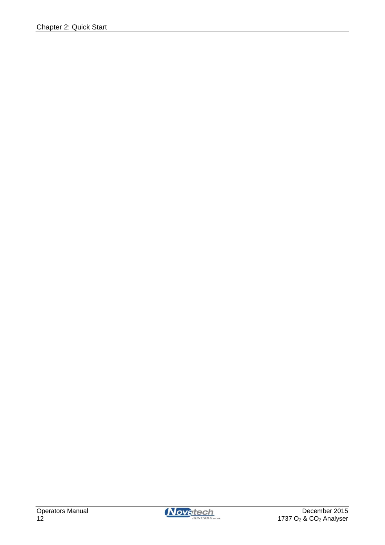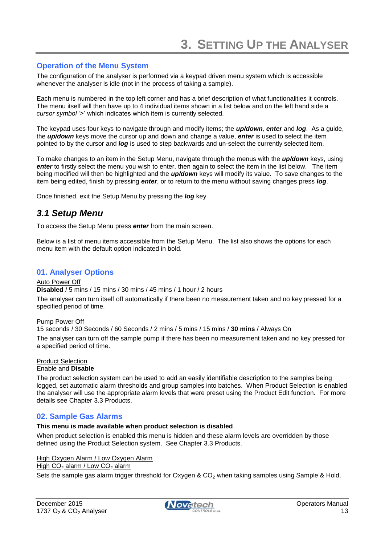## <span id="page-14-0"></span>**Operation of the Menu System**

The configuration of the analyser is performed via a keypad driven menu system which is accessible whenever the analyser is idle (not in the process of taking a sample).

Each menu is numbered in the top left corner and has a brief description of what functionalities it controls. The menu itself will then have up to 4 individual items shown in a list below and on the left hand side a *cursor symbol* '>' which indicates which item is currently selected.

The keypad uses four keys to navigate through and modify items; the *up/down, enter* and *log*. As a guide, the *up/down* keys move the cursor up and down and change a value, *enter* is used to select the item pointed to by the cursor and *log* is used to step backwards and un-select the currently selected item.

To make changes to an item in the Setup Menu, navigate through the menus with the *up/down* keys, using **enter** to firstly select the menu you wish to enter, then again to select the item in the list below. The item being modified will then be highlighted and the *up/down* keys will modify its value. To save changes to the item being edited, finish by pressing *enter*, or to return to the menu without saving changes press *log*.

Once finished, exit the Setup Menu by pressing the *log* key

## <span id="page-14-1"></span>*3.1 Setup Menu*

To access the Setup Menu press *enter* from the main screen.

Below is a list of menu items accessible from the Setup Menu. The list also shows the options for each menu item with the default option indicated in bold.

## **01. Analyser Options**

#### Auto Power Off

**Disabled** / 5 mins / 15 mins / 30 mins / 45 mins / 1 hour / 2 hours

The analyser can turn itself off automatically if there been no measurement taken and no key pressed for a specified period of time.

#### Pump Power Off

15 seconds / 30 Seconds / 60 Seconds / 2 mins / 5 mins / 15 mins / **30 mins** / Always On The analyser can turn off the sample pump if there has been no measurement taken and no key pressed for a specified period of time.

## Product Selection

#### Enable and **Disable**

The product selection system can be used to add an easily identifiable description to the samples being logged, set automatic alarm thresholds and group samples into batches. When Product Selection is enabled the analyser will use the appropriate alarm levels that were preset using the Product Edit function. For more details see Chapter [3.3 Products.](#page-19-0)

## **02. Sample Gas Alarms**

#### **This menu is made available when product selection is disabled**.

When product selection is enabled this menu is hidden and these alarm levels are overridden by those defined using the Product Selection system. See Chapter [3.3 Products.](#page-19-0)

#### High Oxygen Alarm / Low Oxygen Alarm

### High  $CO<sub>2</sub>$  alarm / Low  $CO<sub>2</sub>$  alarm

Sets the sample gas alarm trigger threshold for Oxygen &  $CO<sub>2</sub>$  when taking samples using Sample & Hold.

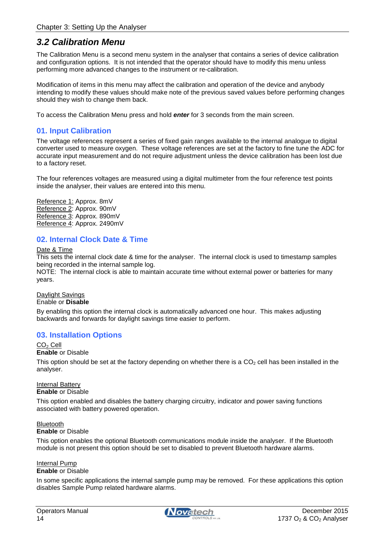## <span id="page-15-0"></span>*3.2 Calibration Menu*

The Calibration Menu is a second menu system in the analyser that contains a series of device calibration and configuration options. It is not intended that the operator should have to modify this menu unless performing more advanced changes to the instrument or re-calibration.

Modification of items in this menu may affect the calibration and operation of the device and anybody intending to modify these values should make note of the previous saved values before performing changes should they wish to change them back.

To access the Calibration Menu press and hold *enter* for 3 seconds from the main screen.

## **01. Input Calibration**

The voltage references represent a series of fixed gain ranges available to the internal analogue to digital converter used to measure oxygen. These voltage references are set at the factory to fine tune the ADC for accurate input measurement and do not require adjustment unless the device calibration has been lost due to a factory reset.

The four references voltages are measured using a digital multimeter from the four reference test points inside the analyser, their values are entered into this menu.

Reference 1: Approx. 8mV Reference 2: Approx. 90mV Reference 3: Approx. 890mV Reference 4: Approx. 2490mV

## **02. Internal Clock Date & Time**

Date & Time

This sets the internal clock date & time for the analyser. The internal clock is used to timestamp samples being recorded in the internal sample log.

NOTE: The internal clock is able to maintain accurate time without external power or batteries for many years.

## Daylight Savings

Enable or **Disable**

By enabling this option the internal clock is automatically advanced one hour. This makes adjusting backwards and forwards for daylight savings time easier to perform.

## **03. Installation Options**

CO<sub>2</sub> Cell

#### **Enable** or Disable

This option should be set at the factory depending on whether there is a  $CO<sub>2</sub>$  cell has been installed in the analyser.

#### Internal Battery **Enable** or Disable

This option enabled and disables the battery charging circuitry, indicator and power saving functions associated with battery powered operation.

#### Bluetooth

#### **Enable** or Disable

This option enables the optional Bluetooth communications module inside the analyser. If the Bluetooth module is not present this option should be set to disabled to prevent Bluetooth hardware alarms.

#### Internal Pump

#### **Enable** or Disable

In some specific applications the internal sample pump may be removed. For these applications this option disables Sample Pump related hardware alarms.

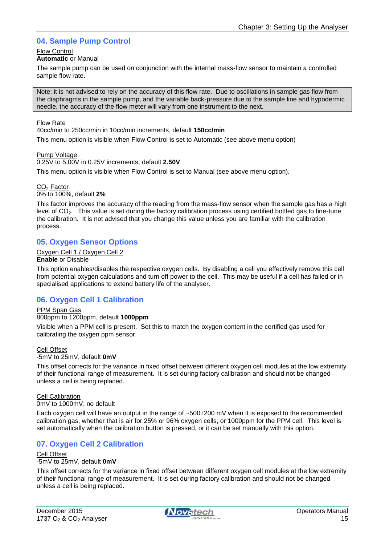## **04. Sample Pump Control**

#### Flow Control

#### **Automatic** or Manual

The sample pump can be used on conjunction with the internal mass-flow sensor to maintain a controlled sample flow rate.

Note: it is not advised to rely on the accuracy of this flow rate. Due to oscillations in sample gas flow from the diaphragms in the sample pump, and the variable back-pressure due to the sample line and hypodermic needle, the accuracy of the flow meter will vary from one instrument to the next.

#### Flow Rate

40cc/min to 250cc/min in 10cc/min increments, default **150cc/min** This menu option is visible when Flow Control is set to Automatic (see above menu option)

Pump Voltage 0.25V to 5.00V in 0.25V increments, default **2.50V** This menu option is visible when Flow Control is set to Manual (see above menu option).

CO<sub>2</sub> Factor

0% to 100%, default **2%**

This factor improves the accuracy of the reading from the mass-flow sensor when the sample gas has a high level of CO<sub>2</sub>. This value is set during the factory calibration process using certified bottled gas to fine-tune the calibration. It is not advised that you change this value unless you are familiar with the calibration process.

## **05. Oxygen Sensor Options**

Oxygen Cell 1 / Oxygen Cell 2 **Enable** or Disable

This option enables/disables the respective oxygen cells. By disabling a cell you effectively remove this cell from potential oxygen calculations and turn off power to the cell. This may be useful if a cell has failed or in specialised applications to extend battery life of the analyser.

## **06. Oxygen Cell 1 Calibration**

### PPM Span Gas

#### 800ppm to 1200ppm, default **1000ppm**

Visible when a PPM cell is present. Set this to match the oxygen content in the certified gas used for calibrating the oxygen ppm sensor.

#### Cell Offset

#### -5mV to 25mV, default **0mV**

This offset corrects for the variance in fixed offset between different oxygen cell modules at the low extremity of their functional range of measurement. It is set during factory calibration and should not be changed unless a cell is being replaced.

#### Cell Calibration

0mV to 1000mV, no default

Each oxygen cell will have an output in the range of ~500±200 mV when it is exposed to the recommended calibration gas, whether that is air for 25% or 96% oxygen cells, or 1000ppm for the PPM cell. This level is set automatically when the calibration button is pressed, or it can be set manually with this option.

## **07. Oxygen Cell 2 Calibration**

#### Cell Offset

#### -5mV to 25mV, default **0mV**

This offset corrects for the variance in fixed offset between different oxygen cell modules at the low extremity of their functional range of measurement. It is set during factory calibration and should not be changed unless a cell is being replaced.

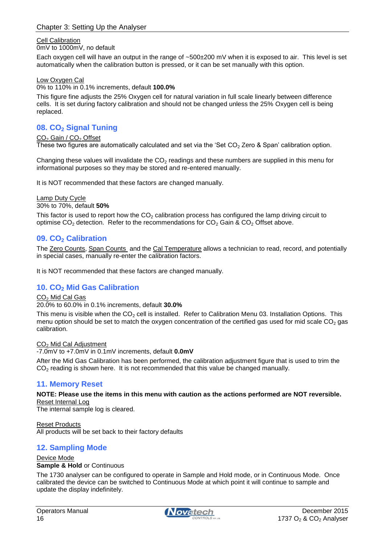#### Cell Calibration

0mV to 1000mV, no default

Each oxygen cell will have an output in the range of ~500±200 mV when it is exposed to air. This level is set automatically when the calibration button is pressed, or it can be set manually with this option.

#### Low Oxygen Cal

0% to 110% in 0.1% increments, default **100.0%**

This figure fine adjusts the 25% Oxygen cell for natural variation in full scale linearly between difference cells. It is set during factory calibration and should not be changed unless the 25% Oxygen cell is being replaced.

## **08. CO<sup>2</sup> Signal Tuning**

#### CO<sub>2</sub> Gain / CO<sub>2</sub> Offset

These two figures are automatically calculated and set via the 'Set  $CO<sub>2</sub>$  Zero & Span' calibration option.

Changing these values will invalidate the  $CO<sub>2</sub>$  readings and these numbers are supplied in this menu for informational purposes so they may be stored and re-entered manually.

It is NOT recommended that these factors are changed manually.

#### Lamp Duty Cycle

30% to 70%, default **50%**

This factor is used to report how the  $CO<sub>2</sub>$  calibration process has configured the lamp driving circuit to optimise  $CO_2$  detection. Refer to the recommendations for  $CO_2$  Gain &  $CO_2$  Offset above.

## **09. CO<sup>2</sup> Calibration**

The Zero Counts, Span Counts and the Cal Temperature allows a technician to read, record, and potentially in special cases, manually re-enter the calibration factors.

It is NOT recommended that these factors are changed manually.

## **10. CO<sup>2</sup> Mid Gas Calibration**

#### CO<sub>2</sub> Mid Cal Gas

20.0% to 60.0% in 0.1% increments, default **30.0%**

This menu is visible when the  $CO<sub>2</sub>$  cell is installed. Refer to Calibration Menu 03. Installation Options. This menu option should be set to match the oxygen concentration of the certified gas used for mid scale  $CO<sub>2</sub>$  gas calibration.

#### CO<sup>2</sup> Mid Cal Adjustment

-7.0mV to +7.0mV in 0.1mV increments, default **0.0mV**

After the Mid Gas Calibration has been performed, the calibration adjustment figure that is used to trim the  $CO<sub>2</sub>$  reading is shown here. It is not recommended that this value be changed manually.

#### **11. Memory Reset**

**NOTE: Please use the items in this menu with caution as the actions performed are NOT reversible.** Reset Internal Log

The internal sample log is cleared.

Reset Products All products will be set back to their factory defaults

## **12. Sampling Mode**

#### Device Mode

#### **Sample & Hold** or Continuous

The 1730 analyser can be configured to operate in Sample and Hold mode, or in Continuous Mode. Once calibrated the device can be switched to Continuous Mode at which point it will continue to sample and update the display indefinitely.

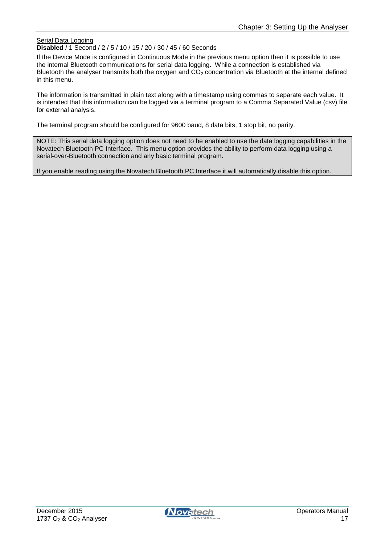#### Serial Data Logging

**Disabled** / 1 Second / 2 / 5 / 10 / 15 / 20 / 30 / 45 / 60 Seconds

If the Device Mode is configured in Continuous Mode in the previous menu option then it is possible to use the internal Bluetooth communications for serial data logging. While a connection is established via Bluetooth the analyser transmits both the oxygen and  $CO<sub>2</sub>$  concentration via Bluetooth at the internal defined in this menu.

The information is transmitted in plain text along with a timestamp using commas to separate each value. It is intended that this information can be logged via a terminal program to a Comma Separated Value (csv) file for external analysis.

The terminal program should be configured for 9600 baud, 8 data bits, 1 stop bit, no parity.

NOTE: This serial data logging option does not need to be enabled to use the data logging capabilities in the Novatech Bluetooth PC Interface. This menu option provides the ability to perform data logging using a serial-over-Bluetooth connection and any basic terminal program.

If you enable reading using the Novatech Bluetooth PC Interface it will automatically disable this option.

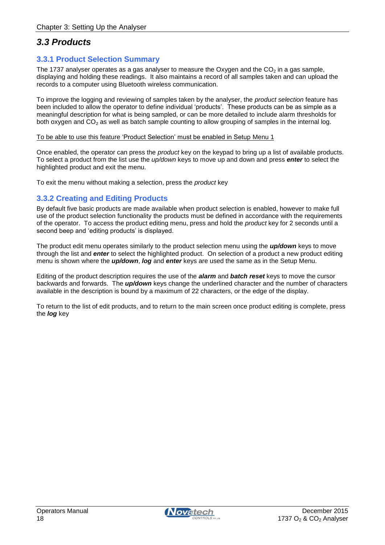## <span id="page-19-0"></span>*3.3 Products*

### **3.3.1 Product Selection Summary**

The 1737 analyser operates as a gas analyser to measure the Oxygen and the  $CO<sub>2</sub>$  in a gas sample, displaying and holding these readings. It also maintains a record of all samples taken and can upload the records to a computer using Bluetooth wireless communication.

To improve the logging and reviewing of samples taken by the analyser, the *product selection* feature has been included to allow the operator to define individual 'products'. These products can be as simple as a meaningful description for what is being sampled, or can be more detailed to include alarm thresholds for both oxygen and  $CO<sub>2</sub>$  as well as batch sample counting to allow grouping of samples in the internal log.

#### To be able to use this feature 'Product Selection' must be enabled in Setup Menu 1

Once enabled, the operator can press the *product* key on the keypad to bring up a list of available products. To select a product from the list use the *up/down* keys to move up and down and press *enter* to select the highlighted product and exit the menu.

To exit the menu without making a selection, press the *product* key

## **3.3.2 Creating and Editing Products**

By default five basic products are made available when product selection is enabled, however to make full use of the product selection functionality the products must be defined in accordance with the requirements of the operator. To access the product editing menu, press and hold the *product* key for 2 seconds until a second beep and 'editing products' is displayed.

The product edit menu operates similarly to the product selection menu using the *up/down* keys to move through the list and *enter* to select the highlighted product. On selection of a product a new product editing menu is shown where the *up/down*, *log* and *enter* keys are used the same as in the Setup Menu.

Editing of the product description requires the use of the *alarm* and *batch reset* keys to move the cursor backwards and forwards. The *up/down* keys change the underlined character and the number of characters available in the description is bound by a maximum of 22 characters, or the edge of the display.

To return to the list of edit products, and to return to the main screen once product editing is complete, press the *log* key

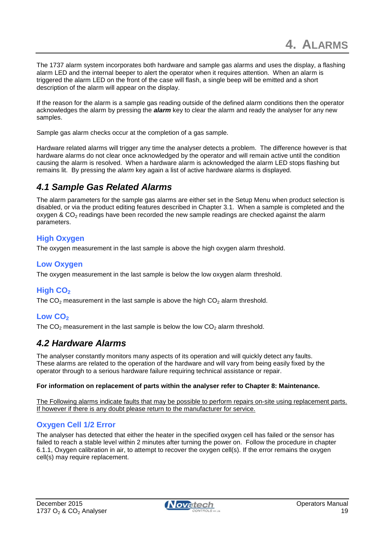<span id="page-20-0"></span>The 1737 alarm system incorporates both hardware and sample gas alarms and uses the display, a flashing alarm LED and the internal beeper to alert the operator when it requires attention. When an alarm is triggered the alarm LED on the front of the case will flash, a single beep will be emitted and a short description of the alarm will appear on the display.

If the reason for the alarm is a sample gas reading outside of the defined alarm conditions then the operator acknowledges the alarm by pressing the *alarm* key to clear the alarm and ready the analyser for any new samples.

Sample gas alarm checks occur at the completion of a gas sample.

Hardware related alarms will trigger any time the analyser detects a problem. The difference however is that hardware alarms do not clear once acknowledged by the operator and will remain active until the condition causing the alarm is resolved. When a hardware alarm is acknowledged the alarm LED stops flashing but remains lit. By pressing the *alarm* key again a list of active hardware alarms is displayed.

## <span id="page-20-1"></span>*4.1 Sample Gas Related Alarms*

The alarm parameters for the sample gas alarms are either set in the Setup Menu when product selection is disabled, or via the product editing features described in Chapter 3.1. When a sample is completed and the oxygen &  $CO<sub>2</sub>$  readings have been recorded the new sample readings are checked against the alarm parameters.

## **High Oxygen**

The oxygen measurement in the last sample is above the high oxygen alarm threshold.

## **Low Oxygen**

The oxygen measurement in the last sample is below the low oxygen alarm threshold.

## **High CO<sup>2</sup>**

The  $CO<sub>2</sub>$  measurement in the last sample is above the high  $CO<sub>2</sub>$  alarm threshold.

## Low CO<sub>2</sub>

The  $CO<sub>2</sub>$  measurement in the last sample is below the low  $CO<sub>2</sub>$  alarm threshold.

## <span id="page-20-2"></span>*4.2 Hardware Alarms*

The analyser constantly monitors many aspects of its operation and will quickly detect any faults. These alarms are related to the operation of the hardware and will vary from being easily fixed by the operator through to a serious hardware failure requiring technical assistance or repair.

#### **For information on replacement of parts within the analyser refer to Chapter 8: Maintenance.**

The Following alarms indicate faults that may be possible to perform repairs on-site using replacement parts. If however if there is any doubt please return to the manufacturer for service.

## **Oxygen Cell 1/2 Error**

The analyser has detected that either the heater in the specified oxygen cell has failed or the sensor has failed to reach a stable level within 2 minutes after turning the power on. Follow the procedure in chapter 6.1.1, Oxygen calibration in air, to attempt to recover the oxygen cell(s). If the error remains the oxygen cell(s) may require replacement.

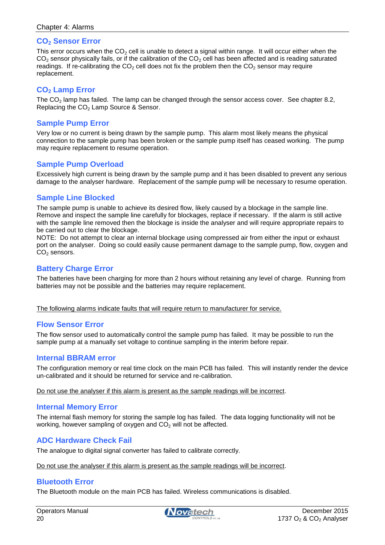### **CO<sup>2</sup> Sensor Error**

This error occurs when the  $CO<sub>2</sub>$  cell is unable to detect a signal within range. It will occur either when the  $CO<sub>2</sub>$  sensor physically fails, or if the calibration of the  $CO<sub>2</sub>$  cell has been affected and is reading saturated readings. If re-calibrating the  $CO<sub>2</sub>$  cell does not fix the problem then the  $CO<sub>2</sub>$  sensor may require replacement.

#### **CO<sup>2</sup> Lamp Error**

The  $CO<sub>2</sub>$  lamp has failed. The lamp can be changed through the sensor access cover. See chapter 8.2, Replacing the  $CO<sub>2</sub>$  Lamp Source & Sensor.

#### **Sample Pump Error**

Very low or no current is being drawn by the sample pump. This alarm most likely means the physical connection to the sample pump has been broken or the sample pump itself has ceased working. The pump may require replacement to resume operation.

## **Sample Pump Overload**

Excessively high current is being drawn by the sample pump and it has been disabled to prevent any serious damage to the analyser hardware. Replacement of the sample pump will be necessary to resume operation.

## **Sample Line Blocked**

The sample pump is unable to achieve its desired flow, likely caused by a blockage in the sample line. Remove and inspect the sample line carefully for blockages, replace if necessary. If the alarm is still active with the sample line removed then the blockage is inside the analyser and will require appropriate repairs to be carried out to clear the blockage.

NOTE: Do not attempt to clear an internal blockage using compressed air from either the input or exhaust port on the analyser. Doing so could easily cause permanent damage to the sample pump, flow, oxygen and  $CO<sub>2</sub>$  sensors.

## **Battery Charge Error**

The batteries have been charging for more than 2 hours without retaining any level of charge. Running from batteries may not be possible and the batteries may require replacement.

The following alarms indicate faults that will require return to manufacturer for service.

## **Flow Sensor Error**

The flow sensor used to automatically control the sample pump has failed. It may be possible to run the sample pump at a manually set voltage to continue sampling in the interim before repair.

#### **Internal BBRAM error**

The configuration memory or real time clock on the main PCB has failed. This will instantly render the device un-calibrated and it should be returned for service and re-calibration.

Do not use the analyser if this alarm is present as the sample readings will be incorrect.

#### **Internal Memory Error**

The internal flash memory for storing the sample log has failed. The data logging functionality will not be working, however sampling of oxygen and  $CO<sub>2</sub>$  will not be affected.

## **ADC Hardware Check Fail**

The analogue to digital signal converter has failed to calibrate correctly.

Do not use the analyser if this alarm is present as the sample readings will be incorrect.

#### **Bluetooth Error**

The Bluetooth module on the main PCB has failed. Wireless communications is disabled.

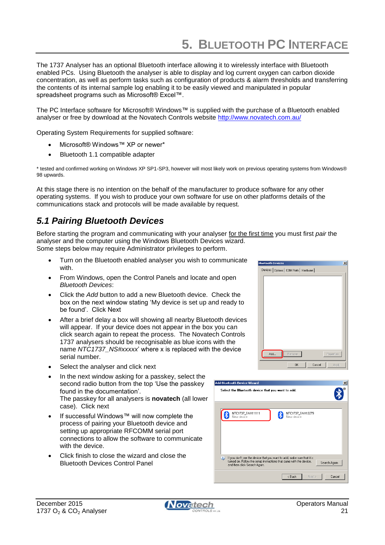<span id="page-22-0"></span>The 1737 Analyser has an optional Bluetooth interface allowing it to wirelessly interface with Bluetooth enabled PCs. Using Bluetooth the analyser is able to display and log current oxygen can carbon dioxide concentration, as well as perform tasks such as configuration of products & alarm thresholds and transferring the contents of its internal sample log enabling it to be easily viewed and manipulated in popular spreadsheet programs such as Microsoft® Excel™.

The PC Interface software for Microsoft® Windows™ is supplied with the purchase of a Bluetooth enabled analyser or free by download at the Novatech Controls website<http://www.novatech.com.au/>

Operating System Requirements for supplied software:

- Microsoft® Windows™ XP or newer\*
- Bluetooth 1.1 compatible adapter

\* tested and confirmed working on Windows XP SP1-SP3, however will most likely work on previous operating systems from Windows® 98 upwards.

At this stage there is no intention on the behalf of the manufacturer to produce software for any other operating systems. If you wish to produce your own software for use on other platforms details of the communications stack and protocols will be made available by request.

## <span id="page-22-1"></span>*5.1 Pairing Bluetooth Devices*

Before starting the program and communicating with your analyser for the first time you must first *pair* the analyser and the computer using the Windows Bluetooth Devices wizard. Some steps below may require Administrator privileges to perform.

- Turn on the Bluetooth enabled analyser you wish to communicate with.
- From Windows, open the Control Panels and locate and open *Bluetooth Devices*:
- Click the *Add* button to add a new Bluetooth device. Check the box on the next window stating 'My device is set up and ready to be found'. Click Next
- After a brief delay a box will showing all nearby Bluetooth devices will appear. If your device does not appear in the box you can click search again to repeat the process. The Novatech Controls 1737 analysers should be recognisable as blue icons with the name *NTC1737\_NS#xxxxx*' where x is replaced with the device serial number.
- Select the analyser and click next
- In the next window asking for a passkey, select the second radio button from the top 'Use the passkey found in the documentation'. The passkey for all analysers is **novatech** (all lower case). Click next
- If successful Windows™ will now complete the process of pairing your Bluetooth device and setting up appropriate RFCOMM serial port connections to allow the software to communicate with the device.
- Click finish to close the wizard and close the Bluetooth Devices Control Panel





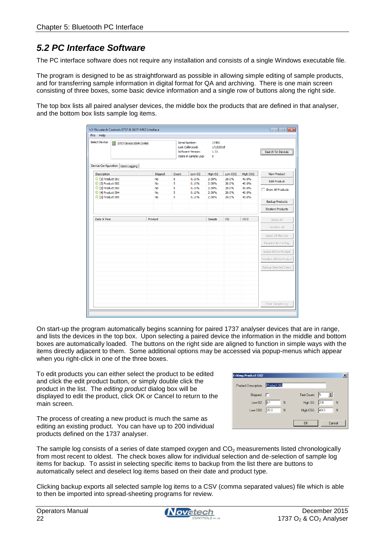## <span id="page-23-0"></span>*5.2 PC Interface Software*

The PC interface software does not require any installation and consists of a single Windows executable file.

The program is designed to be as straightforward as possible in allowing simple editing of sample products, and for transferring sample information in digital format for QA and archiving. There is one main screen consisting of three boxes, some basic device information and a single row of buttons along the right side.

The top box lists all paired analyser devices, the middle box the products that are defined in that analyser, and the bottom box lists sample log items.

| Novatech Controls 1737 & 1637-MK2 Interface                                                            |                       |             |                                                                                 |                                 |                                  |                         | $\begin{array}{c} \begin{array}{c} \hline \end{array} \\ \hline \end{array}$ |
|--------------------------------------------------------------------------------------------------------|-----------------------|-------------|---------------------------------------------------------------------------------|---------------------------------|----------------------------------|-------------------------|------------------------------------------------------------------------------|
| File<br>Help<br><b>Select Device:</b><br>1737 Device SN#: 15486<br>Device Configuration   Data Logging |                       |             | Serial Number:<br>Last Calibrated:<br>Software Version:<br>Items in Sample Log: | 15486<br>1/12/2015<br>1.51<br>o |                                  |                         | Search for Devices                                                           |
| Description                                                                                            | Skipped               | Count       | Low O2                                                                          | High O <sub>2</sub>             | Low CO <sub>2</sub>              | High CO <sub>2</sub>    | <b>New Product</b>                                                           |
| C [1] Product 001<br>2 [2] Product 002                                                                 | <b>No</b><br>No       | 5<br>5      | 0.10%                                                                           | 2.00%<br>2.00%                  | 20.0%                            | 40.0%<br>40.0%          | <b>Edit Product</b>                                                          |
| C [3] Product 003<br><b>O</b> [4] Product 004<br>S [5] Product 005                                     | No<br><b>No</b><br>No | 5<br>5<br>5 | 0.10%<br>0.10%<br>0.10%<br>0.10%                                                | 2.00%<br>2.00%<br>2.00%         | 20.0%<br>20.0%<br>20.0%<br>20.0% | 40.0%<br>40.0%<br>40.0% | Show All Products                                                            |
|                                                                                                        |                       |             |                                                                                 |                                 |                                  |                         | <b>Backup Products</b>                                                       |
|                                                                                                        |                       |             |                                                                                 |                                 |                                  |                         | <b>Restore Products</b>                                                      |
| Date & Time                                                                                            | Product               |             |                                                                                 | Sample                          | 02                               | CO <sub>2</sub>         | Select All                                                                   |
|                                                                                                        |                       |             |                                                                                 |                                 |                                  |                         | Deselect All                                                                 |
|                                                                                                        |                       |             |                                                                                 |                                 |                                  |                         | Select All this Dav                                                          |
|                                                                                                        |                       |             |                                                                                 |                                 |                                  |                         | Deselect All this Day                                                        |
|                                                                                                        |                       |             |                                                                                 |                                 |                                  |                         | Select All this Product                                                      |
|                                                                                                        |                       |             |                                                                                 |                                 |                                  |                         | Deselect All this Product                                                    |
|                                                                                                        |                       |             |                                                                                 |                                 |                                  |                         | Backup Selected Items                                                        |
|                                                                                                        |                       |             |                                                                                 |                                 |                                  |                         |                                                                              |
|                                                                                                        |                       |             |                                                                                 |                                 |                                  |                         |                                                                              |

On start-up the program automatically begins scanning for paired 1737 analyser devices that are in range, and lists the devices in the top box. Upon selecting a paired device the information in the middle and bottom boxes are automatically loaded. The buttons on the right side are aligned to function in simple ways with the items directly adjacent to them. Some additional options may be accessed via popup-menus which appear when you right-click in one of the three boxes.

To edit products you can either select the product to be edited and click the edit product button, or simply double click the product in the list. The *editing product* dialog box will be displayed to edit the product, click OK or Cancel to return to the main screen.

The process of creating a new product is much the same as editing an existing product. You can have up to 200 individual products defined on the 1737 analyser.

| <b>Editing Product 002</b> |              |             |                     |        | × |
|----------------------------|--------------|-------------|---------------------|--------|---|
| Product Description:       | Product 002  |             |                     |        |   |
| Skipped: $\Box$            |              | Test Count: | $\frac{1}{2}$<br>15 |        |   |
| Low 02:                    | 10.1<br>$\%$ | High 02:    | 2.0                 | $\%$   |   |
| Low CO2:                   | 20.0<br>%    | High CO2:   | 40.0                | $\%$   |   |
|                            |              |             |                     |        |   |
|                            |              | OK          |                     | Cancel |   |

The sample log consists of a series of date stamped oxygen and  $CO<sub>2</sub>$  measurements listed chronologically from most recent to oldest. The check boxes allow for individual selection and de-selection of sample log items for backup. To assist in selecting specific items to backup from the list there are buttons to automatically select and deselect log items based on their date and product type.

Clicking backup exports all selected sample log items to a CSV (comma separated values) file which is able to then be imported into spread-sheeting programs for review.

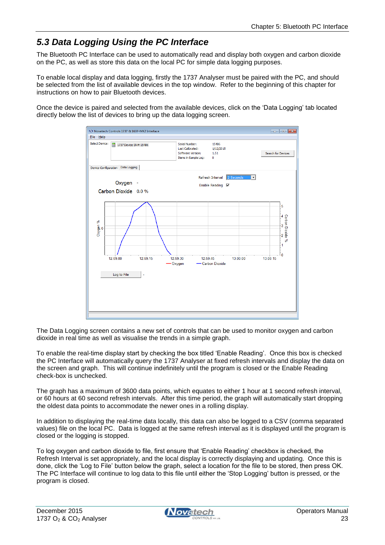## <span id="page-24-0"></span>*5.3 Data Logging Using the PC Interface*

The Bluetooth PC Interface can be used to automatically read and display both oxygen and carbon dioxide on the PC, as well as store this data on the local PC for simple data logging purposes.

To enable local display and data logging, firstly the 1737 Analyser must be paired with the PC, and should be selected from the list of available devices in the top window. Refer to the beginning of this chapter for instructions on how to pair Bluetooth devices.

Once the device is paired and selected from the available devices, click on the 'Data Logging' tab located directly below the list of devices to bring up the data logging screen.



The Data Logging screen contains a new set of controls that can be used to monitor oxygen and carbon dioxide in real time as well as visualise the trends in a simple graph.

To enable the real-time display start by checking the box titled 'Enable Reading'. Once this box is checked the PC Interface will automatically query the 1737 Analyser at fixed refresh intervals and display the data on the screen and graph. This will continue indefinitely until the program is closed or the Enable Reading check-box is unchecked.

The graph has a maximum of 3600 data points, which equates to either 1 hour at 1 second refresh interval, or 60 hours at 60 second refresh intervals. After this time period, the graph will automatically start dropping the oldest data points to accommodate the newer ones in a rolling display.

In addition to displaying the real-time data locally, this data can also be logged to a CSV (comma separated values) file on the local PC. Data is logged at the same refresh interval as it is displayed until the program is closed or the logging is stopped.

To log oxygen and carbon dioxide to file, first ensure that 'Enable Reading' checkbox is checked, the Refresh Interval is set appropriately, and the local display is correctly displaying and updating. Once this is done, click the 'Log to File' button below the graph, select a location for the file to be stored, then press OK. The PC Interface will continue to log data to this file until either the 'Stop Logging' button is pressed, or the program is closed.

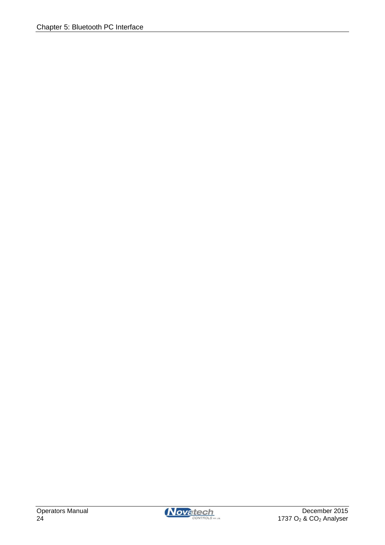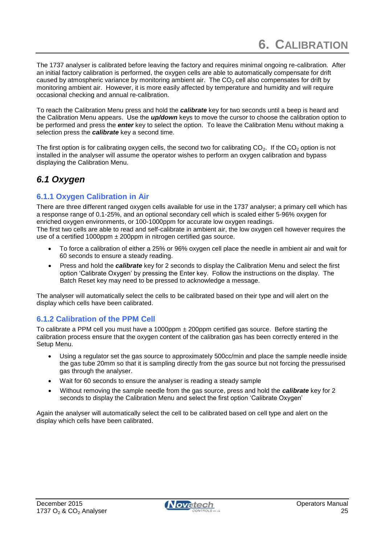<span id="page-26-0"></span>The 1737 analyser is calibrated before leaving the factory and requires minimal ongoing re-calibration. After an initial factory calibration is performed, the oxygen cells are able to automatically compensate for drift caused by atmospheric variance by monitoring ambient air. The  $CO<sub>2</sub>$  cell also compensates for drift by monitoring ambient air. However, it is more easily affected by temperature and humidity and will require occasional checking and annual re-calibration.

To reach the Calibration Menu press and hold the *calibrate* key for two seconds until a beep is heard and the Calibration Menu appears. Use the *up/down* keys to move the cursor to choose the calibration option to be performed and press the *enter* key to select the option. To leave the Calibration Menu without making a selection press the *calibrate* key a second time.

The first option is for calibrating oxygen cells, the second two for calibrating  $CO<sub>2</sub>$ . If the  $CO<sub>2</sub>$  option is not installed in the analyser will assume the operator wishes to perform an oxygen calibration and bypass displaying the Calibration Menu.

## <span id="page-26-1"></span>*6.1 Oxygen*

## **6.1.1 Oxygen Calibration in Air**

There are three different ranged oxygen cells available for use in the 1737 analyser; a primary cell which has a response range of 0.1-25%, and an optional secondary cell which is scaled either 5-96% oxygen for enriched oxygen environments, or 100-1000ppm for accurate low oxygen readings. The first two cells are able to read and self-calibrate in ambient air, the low oxygen cell however requires the use of a certified 1000ppm  $\pm$  200ppm in nitrogen certified gas source.

- To force a calibration of either a 25% or 96% oxygen cell place the needle in ambient air and wait for 60 seconds to ensure a steady reading.
- Press and hold the *calibrate* key for 2 seconds to display the Calibration Menu and select the first option 'Calibrate Oxygen' by pressing the Enter key. Follow the instructions on the display. The Batch Reset key may need to be pressed to acknowledge a message.

The analyser will automatically select the cells to be calibrated based on their type and will alert on the display which cells have been calibrated.

## **6.1.2 Calibration of the PPM Cell**

To calibrate a PPM cell you must have a 1000ppm  $\pm$  200ppm certified gas source. Before starting the calibration process ensure that the oxygen content of the calibration gas has been correctly entered in the Setup Menu.

- Using a regulator set the gas source to approximately 500cc/min and place the sample needle inside the gas tube 20mm so that it is sampling directly from the gas source but not forcing the pressurised gas through the analyser.
- Wait for 60 seconds to ensure the analyser is reading a steady sample
- Without removing the sample needle from the gas source, press and hold the *calibrate* key for 2 seconds to display the Calibration Menu and select the first option 'Calibrate Oxygen'

Again the analyser will automatically select the cell to be calibrated based on cell type and alert on the display which cells have been calibrated.

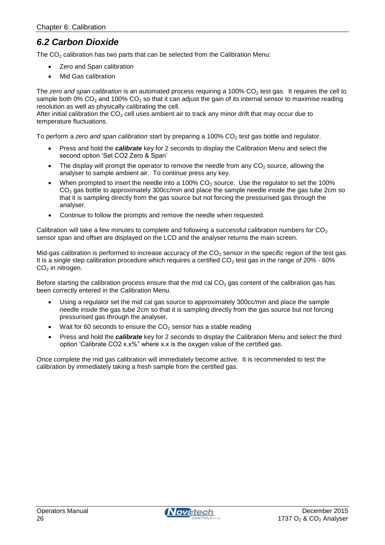## <span id="page-27-0"></span>*6.2 Carbon Dioxide*

The  $CO<sub>2</sub>$  calibration has two parts that can be selected from the Calibration Menu:

- Zero and Span calibration
- Mid Gas calibration

The zero and span calibration is an automated process requiring a 100% CO<sub>2</sub> test gas. It requires the cell to sample both 0%  $CO<sub>2</sub>$  and 100%  $CO<sub>2</sub>$  so that it can adjust the gain of its internal sensor to maximise reading resolution as well as physically calibrating the cell.

After initial calibration the  $CO<sub>2</sub>$  cell uses ambient air to track any minor drift that may occur due to temperature fluctuations.

To perform a zero and span calibration start by preparing a 100% CO<sub>2</sub> test gas bottle and regulator.

- Press and hold the *calibrate* key for 2 seconds to display the Calibration Menu and select the second option 'Set CO2 Zero & Span'
- The display will prompt the operator to remove the needle from any  $CO<sub>2</sub>$  source, allowing the analyser to sample ambient air. To continue press any key.
- When prompted to insert the needle into a 100%  $CO<sub>2</sub>$  source. Use the regulator to set the 100% CO<sub>2</sub> gas bottle to approximately 300cc/min and place the sample needle inside the gas tube 2cm so that it is sampling directly from the gas source but not forcing the pressurised gas through the analyser.
- Continue to follow the prompts and remove the needle when requested.

Calibration will take a few minutes to complete and following a successful calibration numbers for  $CO<sub>2</sub>$ sensor span and offset are displayed on the LCD and the analyser returns the main screen.

Mid-gas calibration is performed to increase accuracy of the  $CO<sub>2</sub>$  sensor in the specific region of the test gas. It is a single step calibration procedure which requires a certified  $CO<sub>2</sub>$  test gas in the range of 20% - 60%  $CO<sub>2</sub>$  in nitrogen.

Before starting the calibration process ensure that the mid cal  $CO<sub>2</sub>$  gas content of the calibration gas has been correctly entered in the Calibration Menu.

- Using a regulator set the mid cal gas source to approximately 300cc/min and place the sample needle inside the gas tube 2cm so that it is sampling directly from the gas source but not forcing pressurised gas through the analyser.
- Wait for 60 seconds to ensure the  $CO<sub>2</sub>$  sensor has a stable reading
- Press and hold the *calibrate* key for 2 seconds to display the Calibration Menu and select the third option 'Calibrate CO2 x.x%" where x.x is the oxygen value of the certified gas.

Once complete the mid gas calibration will immediately become active. It is recommended to test the calibration by immediately taking a fresh sample from the certified gas.

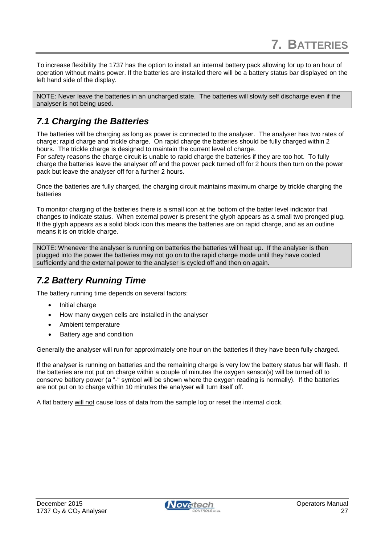<span id="page-28-0"></span>To increase flexibility the 1737 has the option to install an internal battery pack allowing for up to an hour of operation without mains power. If the batteries are installed there will be a battery status bar displayed on the left hand side of the display.

NOTE: Never leave the batteries in an uncharged state. The batteries will slowly self discharge even if the analyser is not being used.

## <span id="page-28-1"></span>*7.1 Charging the Batteries*

The batteries will be charging as long as power is connected to the analyser. The analyser has two rates of charge; rapid charge and trickle charge. On rapid charge the batteries should be fully charged within 2 hours. The trickle charge is designed to maintain the current level of charge.

For safety reasons the charge circuit is unable to rapid charge the batteries if they are too hot. To fully charge the batteries leave the analyser off and the power pack turned off for 2 hours then turn on the power pack but leave the analyser off for a further 2 hours.

Once the batteries are fully charged, the charging circuit maintains maximum charge by trickle charging the batteries

To monitor charging of the batteries there is a small icon at the bottom of the batter level indicator that changes to indicate status. When external power is present the glyph appears as a small two pronged plug. If the glyph appears as a solid block icon this means the batteries are on rapid charge, and as an outline means it is on trickle charge.

NOTE: Whenever the analyser is running on batteries the batteries will heat up. If the analyser is then plugged into the power the batteries may not go on to the rapid charge mode until they have cooled sufficiently and the external power to the analyser is cycled off and then on again.

## <span id="page-28-2"></span>*7.2 Battery Running Time*

The battery running time depends on several factors:

- Initial charge
- How many oxygen cells are installed in the analyser
- Ambient temperature
- Battery age and condition

Generally the analyser will run for approximately one hour on the batteries if they have been fully charged.

If the analyser is running on batteries and the remaining charge is very low the battery status bar will flash. If the batteries are not put on charge within a couple of minutes the oxygen sensor(s) will be turned off to conserve battery power (a "-" symbol will be shown where the oxygen reading is normally). If the batteries are not put on to charge within 10 minutes the analyser will turn itself off.

A flat battery will not cause loss of data from the sample log or reset the internal clock.

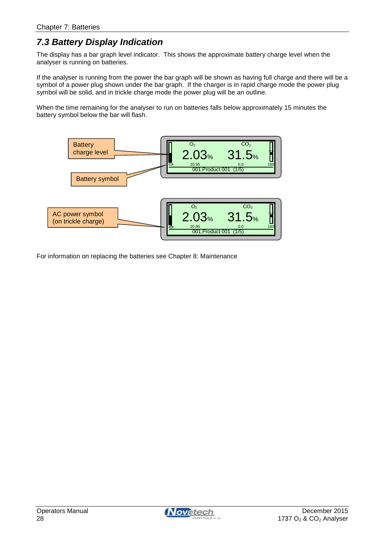## <span id="page-29-0"></span>*7.3 Battery Display Indication*

The display has a bar graph level indicator. This shows the approximate battery charge level when the analyser is running on batteries.

If the analyser is running from the power the bar graph will be shown as having full charge and there will be a symbol of a power plug shown under the bar graph. If the charger is in rapid charge mode the power plug symbol will be solid, and in trickle charge mode the power plug will be an outline.

When the time remaining for the analyser to run on batteries falls below approximately 15 minutes the battery symbol below the bar will flash.



For information on replacing the batteries see Chapter 8: Maintenance

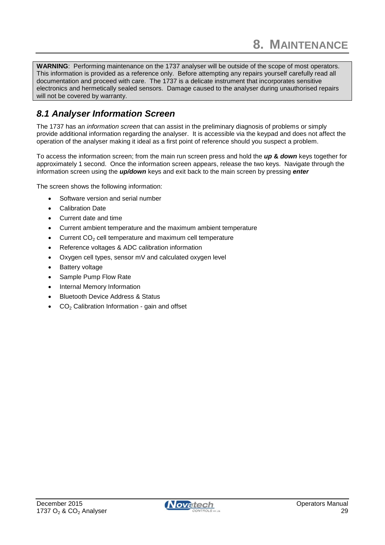<span id="page-30-0"></span>**WARNING**: Performing maintenance on the 1737 analyser will be outside of the scope of most operators. This information is provided as a reference only. Before attempting any repairs yourself carefully read all documentation and proceed with care. The 1737 is a delicate instrument that incorporates sensitive electronics and hermetically sealed sensors. Damage caused to the analyser during unauthorised repairs will not be covered by warranty.

## <span id="page-30-1"></span>*8.1 Analyser Information Screen*

The 1737 has an *information screen* that can assist in the preliminary diagnosis of problems or simply provide additional information regarding the analyser. It is accessible via the keypad and does not affect the operation of the analyser making it ideal as a first point of reference should you suspect a problem.

To access the information screen; from the main run screen press and hold the *up* **&** *down* keys together for approximately 1 second. Once the information screen appears, release the two keys. Navigate through the information screen using the *up/down* keys and exit back to the main screen by pressing *enter*

The screen shows the following information:

- Software version and serial number
- Calibration Date
- Current date and time
- Current ambient temperature and the maximum ambient temperature
- $\bullet$  Current CO<sub>2</sub> cell temperature and maximum cell temperature
- Reference voltages & ADC calibration information
- Oxygen cell types, sensor mV and calculated oxygen level
- Battery voltage
- Sample Pump Flow Rate
- Internal Memory Information
- Bluetooth Device Address & Status
- CO<sub>2</sub> Calibration Information gain and offset

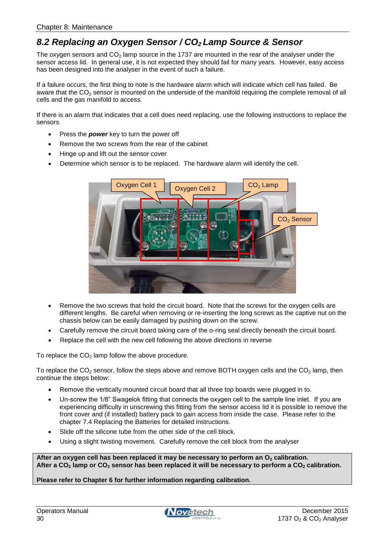## <span id="page-31-0"></span>*8.2 Replacing an Oxygen Sensor / CO2 Lamp Source & Sensor*

The oxygen sensors and  $CO<sub>2</sub>$  lamp source in the 1737 are mounted in the rear of the analyser under the sensor access lid. In general use, it is not expected they should fail for many years. However, easy access has been designed into the analyser in the event of such a failure.

If a failure occurs, the first thing to note is the hardware alarm which will indicate which cell has failed. Be aware that the  $CO<sub>2</sub>$  sensor is mounted on the underside of the manifold requiring the complete removal of all cells and the gas manifold to access.

If there is an alarm that indicates that a cell does need replacing, use the following instructions to replace the sensors

- **Press the** *power* key to turn the power off
- Remove the two screws from the rear of the cabinet
- Hinge up and lift out the sensor cover
- Determine which sensor is to be replaced. The hardware alarm will identify the cell.



- Remove the two screws that hold the circuit board. Note that the screws for the oxygen cells are different lengths. Be careful when removing or re-inserting the long screws as the captive nut on the chassis below can be easily damaged by pushing down on the screw.
- Carefully remove the circuit board taking care of the o-ring seal directly beneath the circuit board.
- Replace the cell with the new cell following the above directions in reverse

To replace the  $CO<sub>2</sub>$  lamp follow the above procedure.

To replace the  $CO_2$  sensor, follow the steps above and remove BOTH oxygen cells and the  $CO_2$  lamp, then continue the steps below:

- Remove the vertically mounted circuit board that all three top boards were plugged in to.
- Un-screw the 1/8" Swagelok fitting that connects the oxygen cell to the sample line inlet. If you are experiencing difficulty in unscrewing this fitting from the sensor access lid it is possible to remove the front cover and (if installed) battery pack to gain access from inside the case. Please refer to the chapter 7.4 Replacing the Batteries for detailed instructions.
- Slide off the silicone tube from the other side of the cell block.
- Using a slight twisting movement. Carefully remove the cell block from the analyser

**After an oxygen cell has been replaced it may be necessary to perform an O<sup>2</sup> calibration. After a CO<sup>2</sup> lamp or CO<sup>2</sup> sensor has been replaced it will be necessary to perform a CO<sup>2</sup> calibration.**

#### **Please refer to Chapter 6 for further information regarding calibration.**

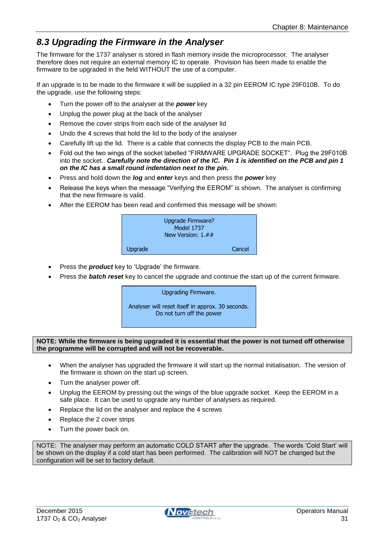## <span id="page-32-0"></span>*8.3 Upgrading the Firmware in the Analyser*

The firmware for the 1737 analyser is stored in flash memory inside the microprocessor. The analyser therefore does not require an external memory IC to operate. Provision has been made to enable the firmware to be upgraded in the field WITHOUT the use of a computer.

If an upgrade is to be made to the firmware it will be supplied in a 32 pin EEROM IC type 29F010B. To do the upgrade, use the following steps:

- Turn the power off to the analyser at the *power* key
- Unplug the power plug at the back of the analyser
- Remove the cover strips from each side of the analyser lid
- Undo the 4 screws that hold the lid to the body of the analyser
- Carefully lift up the lid. There is a cable that connects the display PCB to the main PCB.
- Fold out the two wings of the socket labelled "FIRMWARE UPGRADE SOCKET". Plug the 29F010B into the socket. *Carefully note the direction of the IC. Pin 1 is identified on the PCB and pin 1 on the IC has a small round indentation next to the pin.*
- Press and hold down the *log* and *enter* keys and then press the *power* key
- Release the keys when the message "Verifying the EEROM" is shown. The analyser is confirming that the new firmware is valid.
- After the EEROM has been read and confirmed this message will be shown:



- Press the *product* key to 'Upgrade' the firmware.
- Press the *batch reset* key to cancel the upgrade and continue the start up of the current firmware.

#### Upgrading Firmware.

Analyser will reset itself in approx. 30 seconds. Do not turn off the power

**NOTE: While the firmware is being upgraded it is essential that the power is not turned off otherwise the programme will be corrupted and will not be recoverable.**

- When the analyser has upgraded the firmware it will start up the normal initialisation. The version of the firmware is shown on the start up screen.
- Turn the analyser power off.
- Unplug the EEROM by pressing out the wings of the blue upgrade socket. Keep the EEROM in a safe place. It can be used to upgrade any number of analysers as required.
- Replace the lid on the analyser and replace the 4 screws
- Replace the 2 cover strips
- Turn the power back on.

NOTE: The analyser may perform an automatic COLD START after the upgrade. The words 'Cold Start' will be shown on the display if a cold start has been performed. The calibration will NOT be changed but the configuration will be set to factory default.

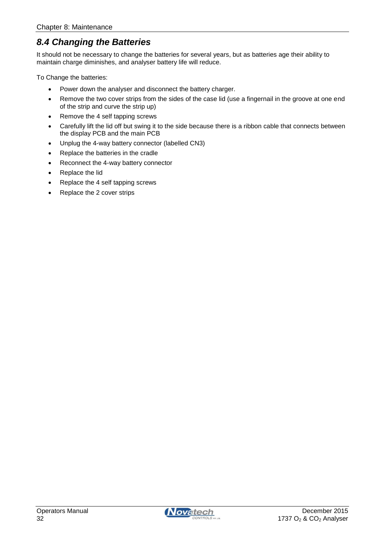## <span id="page-33-0"></span>*8.4 Changing the Batteries*

It should not be necessary to change the batteries for several years, but as batteries age their ability to maintain charge diminishes, and analyser battery life will reduce.

To Change the batteries:

- Power down the analyser and disconnect the battery charger.
- Remove the two cover strips from the sides of the case lid (use a fingernail in the groove at one end of the strip and curve the strip up)
- Remove the 4 self tapping screws
- Carefully lift the lid off but swing it to the side because there is a ribbon cable that connects between the display PCB and the main PCB
- Unplug the 4-way battery connector (labelled CN3)
- Replace the batteries in the cradle
- Reconnect the 4-way battery connector
- Replace the lid
- Replace the 4 self tapping screws
- Replace the 2 cover strips